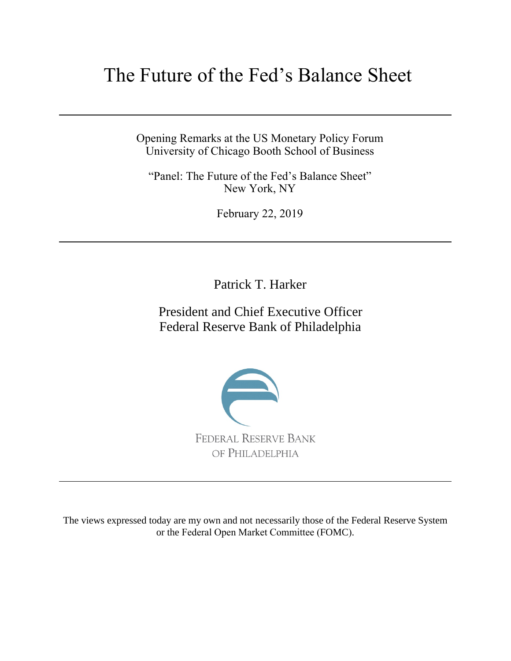# The Future of the Fed's Balance Sheet

Opening Remarks at the US Monetary Policy Forum University of Chicago Booth School of Business

"Panel: The Future of the Fed's Balance Sheet" New York, NY

February 22, 2019

Patrick T. Harker

President and Chief Executive Officer Federal Reserve Bank of Philadelphia



The views expressed today are my own and not necessarily those of the Federal Reserve System or the Federal Open Market Committee (FOMC).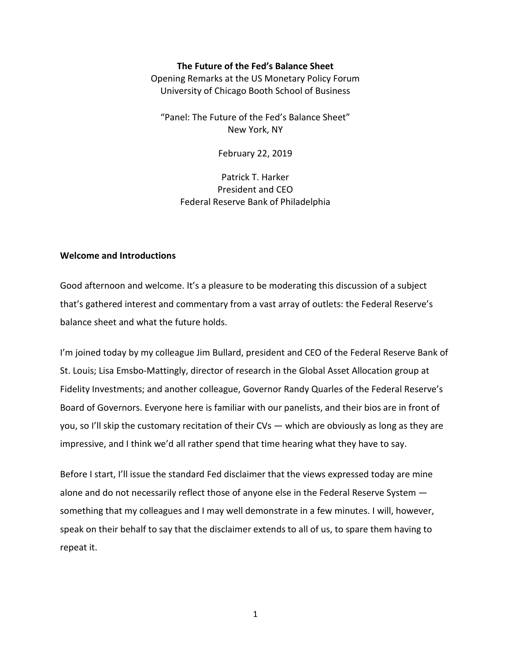### **The Future of the Fed's Balance Sheet**

Opening Remarks at the US Monetary Policy Forum University of Chicago Booth School of Business

"Panel: The Future of the Fed's Balance Sheet" New York, NY

February 22, 2019

Patrick T. Harker President and CEO Federal Reserve Bank of Philadelphia

## **Welcome and Introductions**

Good afternoon and welcome. It's a pleasure to be moderating this discussion of a subject that's gathered interest and commentary from a vast array of outlets: the Federal Reserve's balance sheet and what the future holds.

I'm joined today by my colleague Jim Bullard, president and CEO of the Federal Reserve Bank of St. Louis; Lisa Emsbo-Mattingly, director of research in the Global Asset Allocation group at Fidelity Investments; and another colleague, Governor Randy Quarles of the Federal Reserve's Board of Governors. Everyone here is familiar with our panelists, and their bios are in front of you, so I'll skip the customary recitation of their CVs — which are obviously as long as they are impressive, and I think we'd all rather spend that time hearing what they have to say.

Before I start, I'll issue the standard Fed disclaimer that the views expressed today are mine alone and do not necessarily reflect those of anyone else in the Federal Reserve System something that my colleagues and I may well demonstrate in a few minutes. I will, however, speak on their behalf to say that the disclaimer extends to all of us, to spare them having to repeat it.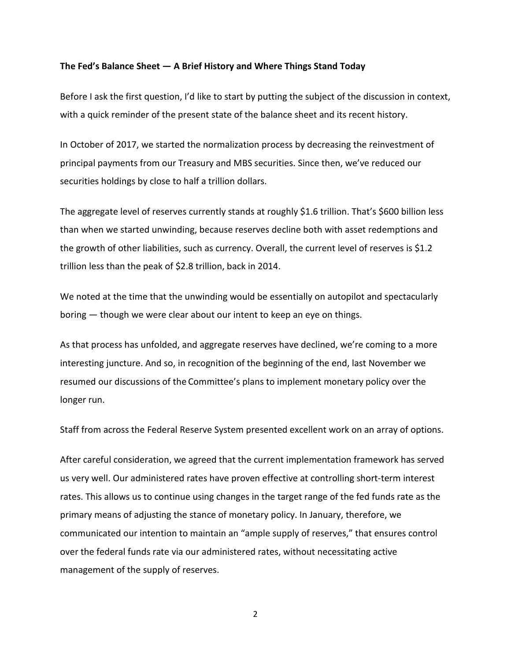#### **The Fed's Balance Sheet — A Brief History and Where Things Stand Today**

Before I ask the first question, I'd like to start by putting the subject of the discussion in context, with a quick reminder of the present state of the balance sheet and its recent history.

In October of 2017, we started the normalization process by decreasing the reinvestment of principal payments from our Treasury and MBS securities. Since then, we've reduced our securities holdings by close to half a trillion dollars.

The aggregate level of reserves currently stands at roughly \$1.6 trillion. That's \$600 billion less than when we started unwinding, because reserves decline both with asset redemptions and the growth of other liabilities, such as currency. Overall, the current level of reserves is \$1.2 trillion less than the peak of \$2.8 trillion, back in 2014.

We noted at the time that the unwinding would be essentially on autopilot and spectacularly boring — though we were clear about our intent to keep an eye on things.

As that process has unfolded, and aggregate reserves have declined, we're coming to a more interesting juncture. And so, in recognition of the beginning of the end, last November we resumed our discussions of the Committee's plans to implement monetary policy over the longer run.

Staff from across the Federal Reserve System presented excellent work on an array of options.

After careful consideration, we agreed that the current implementation framework has served us very well. Our administered rates have proven effective at controlling short-term interest rates. This allows us to continue using changes in the target range of the fed funds rate as the primary means of adjusting the stance of monetary policy. In January, therefore, we communicated our intention to maintain an "ample supply of reserves," that ensures control over the federal funds rate via our administered rates, without necessitating active management of the supply of reserves.

2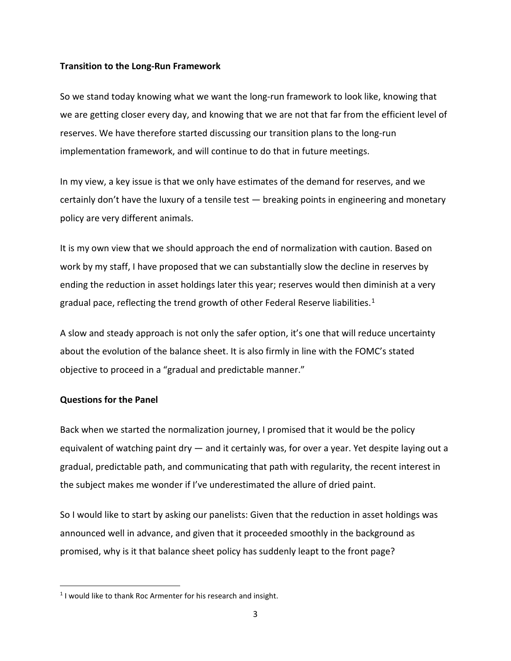## **Transition to the Long-Run Framework**

So we stand today knowing what we want the long-run framework to look like, knowing that we are getting closer every day, and knowing that we are not that far from the efficient level of reserves. We have therefore started discussing our transition plans to the long-run implementation framework, and will continue to do that in future meetings.

In my view, a key issue is that we only have estimates of the demand for reserves, and we certainly don't have the luxury of a tensile test  $-$  breaking points in engineering and monetary policy are very different animals.

It is my own view that we should approach the end of normalization with caution. Based on work by my staff, I have proposed that we can substantially slow the decline in reserves by ending the reduction in asset holdings later this year; reserves would then diminish at a very gradual pace, reflecting the trend growth of other Federal Reserve liabilities.<sup>[1](#page-3-0)</sup>

A slow and steady approach is not only the safer option, it's one that will reduce uncertainty about the evolution of the balance sheet. It is also firmly in line with the FOMC's stated objective to proceed in a "gradual and predictable manner."

## **Questions for the Panel**

 $\overline{a}$ 

Back when we started the normalization journey, I promised that it would be the policy equivalent of watching paint dry — and it certainly was, for over a year. Yet despite laying out a gradual, predictable path, and communicating that path with regularity, the recent interest in the subject makes me wonder if I've underestimated the allure of dried paint.

So I would like to start by asking our panelists: Given that the reduction in asset holdings was announced well in advance, and given that it proceeded smoothly in the background as promised, why is it that balance sheet policy has suddenly leapt to the front page?

<span id="page-3-0"></span> $1$  I would like to thank Roc Armenter for his research and insight.